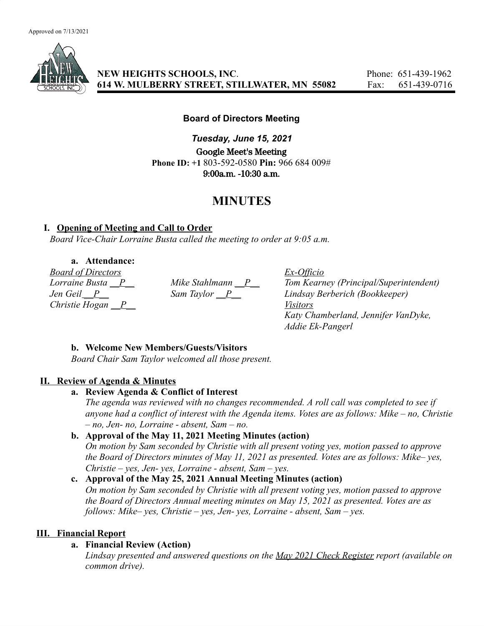

## **NEW HEIGHTS SCHOOLS, INC**. Phone: 651-439-1962 **614 W. MULBERRY STREET, STILLWATER, MN 55082** Fax: 651-439-0716

## **Board of Directors Meeting**

*Tuesday, June 15, 2021* Google Meet's Meeting **Phone ID: +1** 803-592-0580 **Pin:** 966 684 009# 9:00a.m. -10:30 a.m.

# **MINUTES**

# **I. Opening of Meeting and Call to Order**

*Board Vice-Chair Lorraine Busta called the meeting to order at 9:05 a.m.*

## **a. Attendance:**

*Board of Directors Ex-Officio Christie Hogan \_\_P\_\_ Visitors*

*Lorraine Busta \_\_P\_\_\_ Mike Stahlmann \_\_P\_\_\_ Tom Kearney (Principal/Superintendent)*<br> *Jen Geil \_\_P\_\_\_\_ Sam Taylor \_\_P\_\_\_\_ Lindsay Berberich (Bookkeeper) Jen Geil \_\_P\_\_ Sam Taylor \_\_P\_\_ Lindsay Berberich (Bookkeeper) Katy Chamberland, Jennifer VanDyke, Addie Ek-Pangerl*

# **b. Welcome New Members/Guests/Visitors**

*Board Chair Sam Taylor welcomed all those present.*

# **II. Review of Agenda & Minutes**

#### **a. Review Agenda & Conflict of Interest**

*The agenda was reviewed with no changes recommended. A roll call was completed to see if anyone had a conflict of interest with the Agenda items. Votes are as follows: Mike – no, Christie – no, Jen- no, Lorraine - absent, Sam – no.*

# **b. Approval of the May 11, 2021 Meeting Minutes (action)**

*On motion by Sam seconded by Christie with all present voting yes, motion passed to approve the Board of Directors minutes of May 11, 2021 as presented. Votes are as follows: Mike– yes, Christie – yes, Jen- yes, Lorraine - absent, Sam – yes.*

# **c. Approval of the May 25, 2021 Annual Meeting Minutes (action)**

*On motion by Sam seconded by Christie with all present voting yes, motion passed to approve the Board of Directors Annual meeting minutes on May 15, 2021 as presented. Votes are as follows: Mike– yes, Christie – yes, Jen- yes, Lorraine - absent, Sam – yes.*

# **III. Financial Report**

# **a. Financial Review (Action)**

*Lindsay presented and answered questions on the May 2021 Check Register report (available on common drive).*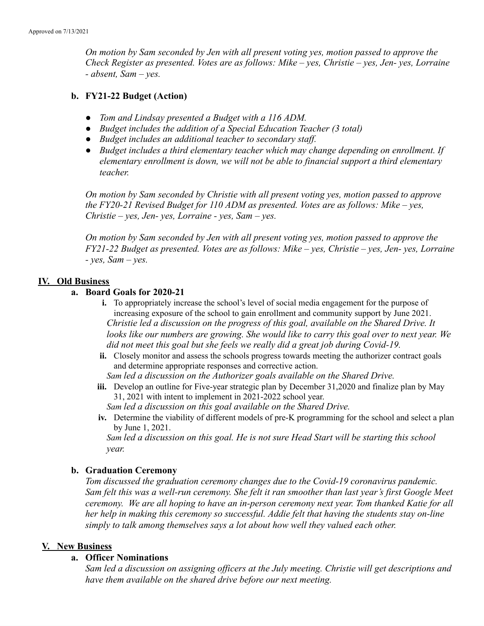*On motion by Sam seconded by Jen with all present voting yes, motion passed to approve the Check Register as presented. Votes are as follows: Mike – yes, Christie – yes, Jen- yes, Lorraine - absent, Sam – yes.*

## **b. FY21-22 Budget (Action)**

- *● Tom and Lindsay presented a Budget with a 116 ADM.*
- *● Budget includes the addition of a Special Education Teacher (3 total)*
- *● Budget includes an additional teacher to secondary staff.*
- *● Budget includes a third elementary teacher which may change depending on enrollment. If elementary enrollment is down, we will not be able to financial support a third elementary teacher.*

*On motion by Sam seconded by Christie with all present voting yes, motion passed to approve the FY20-21 Revised Budget for 110 ADM as presented. Votes are as follows: Mike – yes, Christie – yes, Jen- yes, Lorraine - yes, Sam – yes.*

*On motion by Sam seconded by Jen with all present voting yes, motion passed to approve the FY21-22 Budget as presented. Votes are as follows: Mike – yes, Christie – yes, Jen- yes, Lorraine - yes, Sam – yes.*

#### **IV. Old Business**

#### **a. Board Goals for 2020-21**

- **i.** To appropriately increase the school's level of social media engagement for the purpose of increasing exposure of the school to gain enrollment and community support by June 2021. *Christie led a discussion on the progress of this goal, available on the Shared Drive. It looks like our numbers are growing. She would like to carry this goal over to next year. We did not meet this goal but she feels we really did a great job during Covid-19.*
- **ii.** Closely monitor and assess the schools progress towards meeting the authorizer contract goals and determine appropriate responses and corrective action.

*Sam led a discussion on the Authorizer goals available on the Shared Drive.*

**iii.** Develop an outline for Five-year strategic plan by December 31,2020 and finalize plan by May 31, 2021 with intent to implement in 2021-2022 school year.

*Sam led a discussion on this goal available on the Shared Drive.*

**iv.** Determine the viability of different models of pre-K programming for the school and select a plan by June 1, 2021.

*Sam led a discussion on this goal. He is not sure Head Start will be starting this school year.*

#### **b. Graduation Ceremony**

*Tom discussed the graduation ceremony changes due to the Covid-19 coronavirus pandemic. Sam felt this was a well-run ceremony. She felt it ran smoother than last year's first Google Meet ceremony. We are all hoping to have an in-person ceremony next year. Tom thanked Katie for all her help in making this ceremony so successful. Addie felt that having the students stay on-line simply to talk among themselves says a lot about how well they valued each other.*

#### **V. New Business**

#### **a. Officer Nominations**

*Sam led a discussion on assigning officers at the July meeting. Christie will get descriptions and have them available on the shared drive before our next meeting.*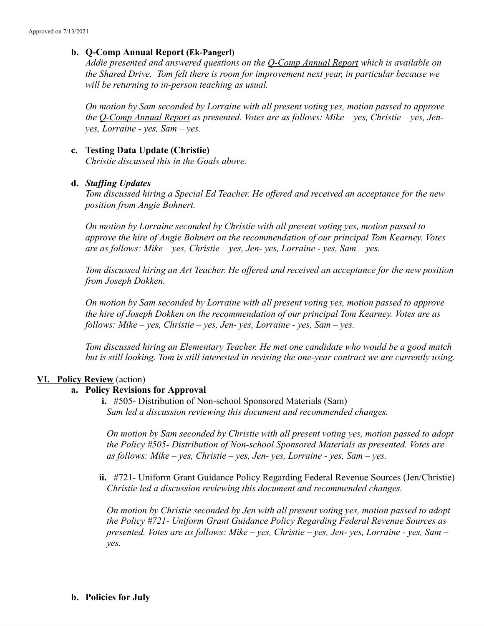#### **b. Q-Comp Annual Report (Ek-Pangerl)**

*Addie presented and answered questions on the Q-Comp Annual Report which is available on the Shared Drive. Tom felt there is room for improvement next year, in particular because we will be returning to in-person teaching as usual.*

*On motion by Sam seconded by Lorraine with all present voting yes, motion passed to approve the Q-Comp Annual Report as presented. Votes are as follows: Mike – yes, Christie – yes, Jenyes, Lorraine - yes, Sam – yes.*

#### **c. Testing Data Update (Christie)**

*Christie discussed this in the Goals above.*

#### **d.** *Staffing Updates*

*Tom discussed hiring a Special Ed Teacher. He offered and received an acceptance for the new position from Angie Bohnert.*

*On motion by Lorraine seconded by Christie with all present voting yes, motion passed to approve the hire of Angie Bohnert on the recommendation of our principal Tom Kearney. Votes are as follows: Mike – yes, Christie – yes, Jen- yes, Lorraine - yes, Sam – yes.*

*Tom discussed hiring an Art Teacher. He offered and received an acceptance for the new position from Joseph Dokken.*

*On motion by Sam seconded by Lorraine with all present voting yes, motion passed to approve the hire of Joseph Dokken on the recommendation of our principal Tom Kearney. Votes are as follows: Mike – yes, Christie – yes, Jen- yes, Lorraine - yes, Sam – yes.*

*Tom discussed hiring an Elementary Teacher. He met one candidate who would be a good match but is still looking. Tom is still interested in revising the one-year contract we are currently using.*

#### **VI. Policy Review** (action)

#### **a. Policy Revisions for Approval**

**i.** #505- Distribution of Non-school Sponsored Materials (Sam) *Sam led a discussion reviewing this document and recommended changes.*

*On motion by Sam seconded by Christie with all present voting yes, motion passed to adopt the Policy #505- Distribution of Non-school Sponsored Materials as presented. Votes are as follows: Mike – yes, Christie – yes, Jen- yes, Lorraine - yes, Sam – yes.*

**ii.** #721- Uniform Grant Guidance Policy Regarding Federal Revenue Sources (Jen/Christie) *Christie led a discussion reviewing this document and recommended changes.*

*On motion by Christie seconded by Jen with all present voting yes, motion passed to adopt the Policy #721- Uniform Grant Guidance Policy Regarding Federal Revenue Sources as presented. Votes are as follows: Mike – yes, Christie – yes, Jen- yes, Lorraine - yes, Sam – yes.*